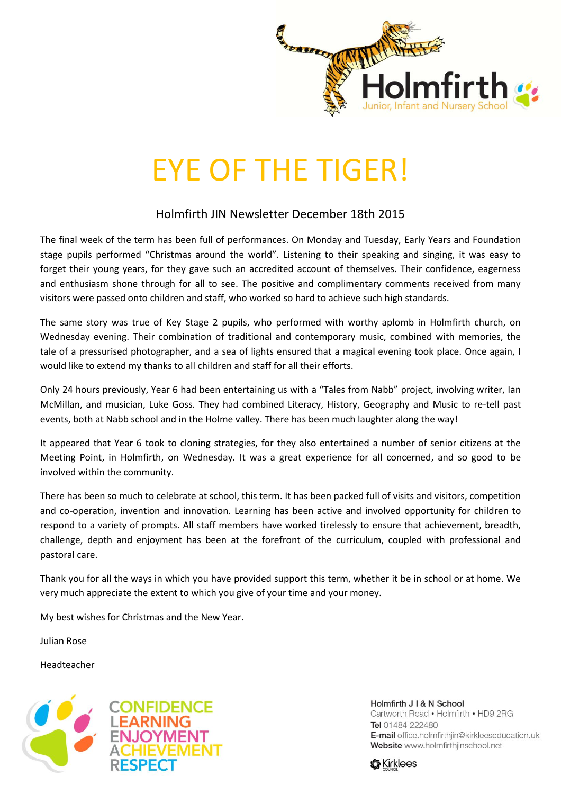

## EYE OF THE TIGER!

## Holmfirth JIN Newsletter December 18th 2015

The final week of the term has been full of performances. On Monday and Tuesday, Early Years and Foundation stage pupils performed "Christmas around the world". Listening to their speaking and singing, it was easy to forget their young years, for they gave such an accredited account of themselves. Their confidence, eagerness and enthusiasm shone through for all to see. The positive and complimentary comments received from many visitors were passed onto children and staff, who worked so hard to achieve such high standards.

The same story was true of Key Stage 2 pupils, who performed with worthy aplomb in Holmfirth church, on Wednesday evening. Their combination of traditional and contemporary music, combined with memories, the tale of a pressurised photographer, and a sea of lights ensured that a magical evening took place. Once again, I would like to extend my thanks to all children and staff for all their efforts.

Only 24 hours previously, Year 6 had been entertaining us with a "Tales from Nabb" project, involving writer, Ian McMillan, and musician, Luke Goss. They had combined Literacy, History, Geography and Music to re-tell past events, both at Nabb school and in the Holme valley. There has been much laughter along the way!

It appeared that Year 6 took to cloning strategies, for they also entertained a number of senior citizens at the Meeting Point, in Holmfirth, on Wednesday. It was a great experience for all concerned, and so good to be involved within the community.

There has been so much to celebrate at school, this term. It has been packed full of visits and visitors, competition and co-operation, invention and innovation. Learning has been active and involved opportunity for children to respond to a variety of prompts. All staff members have worked tirelessly to ensure that achievement, breadth, challenge, depth and enjoyment has been at the forefront of the curriculum, coupled with professional and pastoral care.

Thank you for all the ways in which you have provided support this term, whether it be in school or at home. We very much appreciate the extent to which you give of your time and your money.

My best wishes for Christmas and the New Year.

Julian Rose

Headteacher



Holmfirth J I & N School Cartworth Road . Holmfirth . HD9 2RG Tel 01484 222480 E-mail office.holmfirthjin@kirkleeseducation.uk Website www.holmfirthjinschool.net